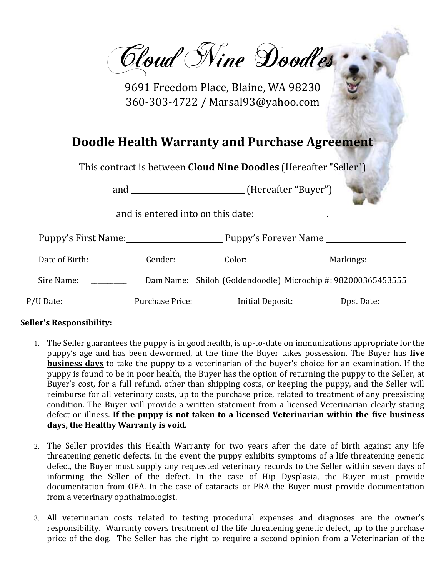Cloud Nine Doodles

9691 Freedom Place, Blaine, WA 98230 360-303-4722 / Marsal93@yahoo.com

## **Doodle Health Warranty and Purchase Agreement**

This contract is between **Cloud Nine Doodles** (Hereafter "Seller")

and \_\_\_\_\_\_\_\_\_\_\_\_\_\_\_\_\_\_\_\_\_\_\_(Hereafter "Buyer")

and is entered into on this date: .

| Puppy's First Name: |                 | Puppy's Forever Name                                                              |                     |
|---------------------|-----------------|-----------------------------------------------------------------------------------|---------------------|
|                     |                 | Date of Birth: ___________________Gender: ________________Color: ________________ | Markings: _________ |
| Sire Name:          |                 | Dam Name: Shiloh (Goldendoodle) Microchip #: 982000365453555                      |                     |
|                     | Purchase Price: | _Initial Deposit: ___________                                                     | _Dpst Date:_        |

## **Seller's Responsibility:**

- 1. The Seller guarantees the puppy is in good health, is up-to-date on immunizations appropriate for the puppy's age and has been dewormed, at the time the Buyer takes possession. The Buyer has **five business days** to take the puppy to a veterinarian of the buyer's choice for an examination. If the puppy is found to be in poor health, the Buyer has the option of returning the puppy to the Seller, at Buyer's cost, for a full refund, other than shipping costs, or keeping the puppy, and the Seller will reimburse for all veterinary costs, up to the purchase price, related to treatment of any preexisting condition. The Buyer will provide a written statement from a licensed Veterinarian clearly stating defect or illness. **If the puppy is not taken to a licensed Veterinarian within the five business days, the Healthy Warranty is void.**
- 2. The Seller provides this Health Warranty for two years after the date of birth against any life threatening genetic defects. In the event the puppy exhibits symptoms of a life threatening genetic defect, the Buyer must supply any requested veterinary records to the Seller within seven days of informing the Seller of the defect. In the case of Hip Dysplasia, the Buyer must provide documentation from OFA. In the case of cataracts or PRA the Buyer must provide documentation from a veterinary ophthalmologist.
- 3. All veterinarian costs related to testing procedural expenses and diagnoses are the owner's responsibility. Warranty covers treatment of the life threatening genetic defect, up to the purchase price of the dog. The Seller has the right to require a second opinion from a Veterinarian of the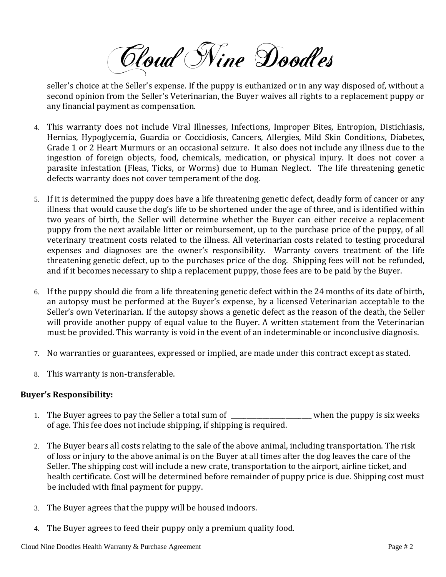Cloud Nine Doodles

seller's choice at the Seller's expense. If the puppy is euthanized or in any way disposed of, without a second opinion from the Seller's Veterinarian, the Buyer waives all rights to a replacement puppy or any financial payment as compensation.

- 4. This warranty does not include Viral Illnesses, Infections, Improper Bites, Entropion, Distichiasis, Hernias, Hypoglycemia, Guardia or Coccidiosis, Cancers, Allergies, Mild Skin Conditions, Diabetes, Grade 1 or 2 Heart Murmurs or an occasional seizure. It also does not include any illness due to the ingestion of foreign objects, food, chemicals, medication, or physical injury. It does not cover a parasite infestation (Fleas, Ticks, or Worms) due to Human Neglect. The life threatening genetic defects warranty does not cover temperament of the dog.
- 5. If it is determined the puppy does have a life threatening genetic defect, deadly form of cancer or any illness that would cause the dog's life to be shortened under the age of three, and is identified within two years of birth, the Seller will determine whether the Buyer can either receive a replacement puppy from the next available litter or reimbursement, up to the purchase price of the puppy, of all veterinary treatment costs related to the illness. All veterinarian costs related to testing procedural expenses and diagnoses are the owner's responsibility. Warranty covers treatment of the life threatening genetic defect, up to the purchases price of the dog. Shipping fees will not be refunded, and if it becomes necessary to ship a replacement puppy, those fees are to be paid by the Buyer.
- 6. If the puppy should die from a life threatening genetic defect within the 24 months of its date of birth, an autopsy must be performed at the Buyer's expense, by a licensed Veterinarian acceptable to the Seller's own Veterinarian. If the autopsy shows a genetic defect as the reason of the death, the Seller will provide another puppy of equal value to the Buyer. A written statement from the Veterinarian must be provided. This warranty is void in the event of an indeterminable or inconclusive diagnosis.
- 7. No warranties or guarantees, expressed or implied, are made under this contract except as stated.
- 8. This warranty is non-transferable.

## **Buyer's Responsibility:**

- 1. The Buyer agrees to pay the Seller a total sum of \_\_\_\_\_\_\_\_\_\_\_\_\_\_\_\_\_\_\_\_\_\_\_when the puppy is six weeks of age. This fee does not include shipping, if shipping is required.
- 2. The Buyer bears all costs relating to the sale of the above animal, including transportation. The risk of loss or injury to the above animal is on the Buyer at all times after the dog leaves the care of the Seller. The shipping cost will include a new crate, transportation to the airport, airline ticket, and health certificate. Cost will be determined before remainder of puppy price is due. Shipping cost must be included with final payment for puppy.
- 3. The Buyer agrees that the puppy will be housed indoors.
- 4. The Buyer agrees to feed their puppy only a premium quality food.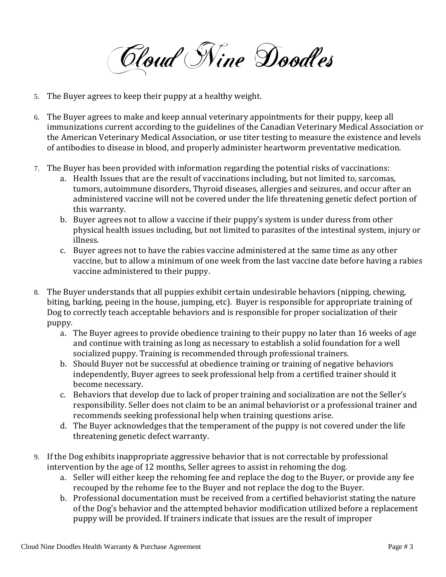Cloud Nine Doodles

- 5. The Buyer agrees to keep their puppy at a healthy weight.
- 6. The Buyer agrees to make and keep annual veterinary appointments for their puppy, keep all immunizations current according to the guidelines of the Canadian Veterinary Medical Association or the American Veterinary Medical Association, or use titer testing to measure the existence and levels of antibodies to disease in blood, and properly administer heartworm preventative medication.
- 7. The Buyer has been provided with information regarding the potential risks of vaccinations:
	- a. Health Issues that are the result of vaccinations including, but not limited to, sarcomas, tumors, autoimmune disorders, Thyroid diseases, allergies and seizures, and occur after an administered vaccine will not be covered under the life threatening genetic defect portion of this warranty.
	- b. Buyer agrees not to allow a vaccine if their puppy's system is under duress from other physical health issues including, but not limited to parasites of the intestinal system, injury or illness.
	- c. Buyer agrees not to have the rabies vaccine administered at the same time as any other vaccine, but to allow a minimum of one week from the last vaccine date before having a rabies vaccine administered to their puppy.
- 8. The Buyer understands that all puppies exhibit certain undesirable behaviors (nipping, chewing, biting, barking, peeing in the house, jumping, etc). Buyer is responsible for appropriate training of Dog to correctly teach acceptable behaviors and is responsible for proper socialization of their puppy.
	- a. The Buyer agrees to provide obedience training to their puppy no later than 16 weeks of age and continue with training as long as necessary to establish a solid foundation for a well socialized puppy. Training is recommended through professional trainers.
	- b. Should Buyer not be successful at obedience training or training of negative behaviors independently, Buyer agrees to seek professional help from a certified trainer should it become necessary.
	- c. Behaviors that develop due to lack of proper training and socialization are not the Seller's responsibility. Seller does not claim to be an animal behaviorist or a professional trainer and recommends seeking professional help when training questions arise.
	- d. The Buyer acknowledges that the temperament of the puppy is not covered under the life threatening genetic defect warranty.
- 9. If the Dog exhibits inappropriate aggressive behavior that is not correctable by professional intervention by the age of 12 months, Seller agrees to assist in rehoming the dog.
	- a. Seller will either keep the rehoming fee and replace the dog to the Buyer, or provide any fee recouped by the rehome fee to the Buyer and not replace the dog to the Buyer.
	- b. Professional documentation must be received from a certified behaviorist stating the nature of the Dog's behavior and the attempted behavior modification utilized before a replacement puppy will be provided. If trainers indicate that issues are the result of improper